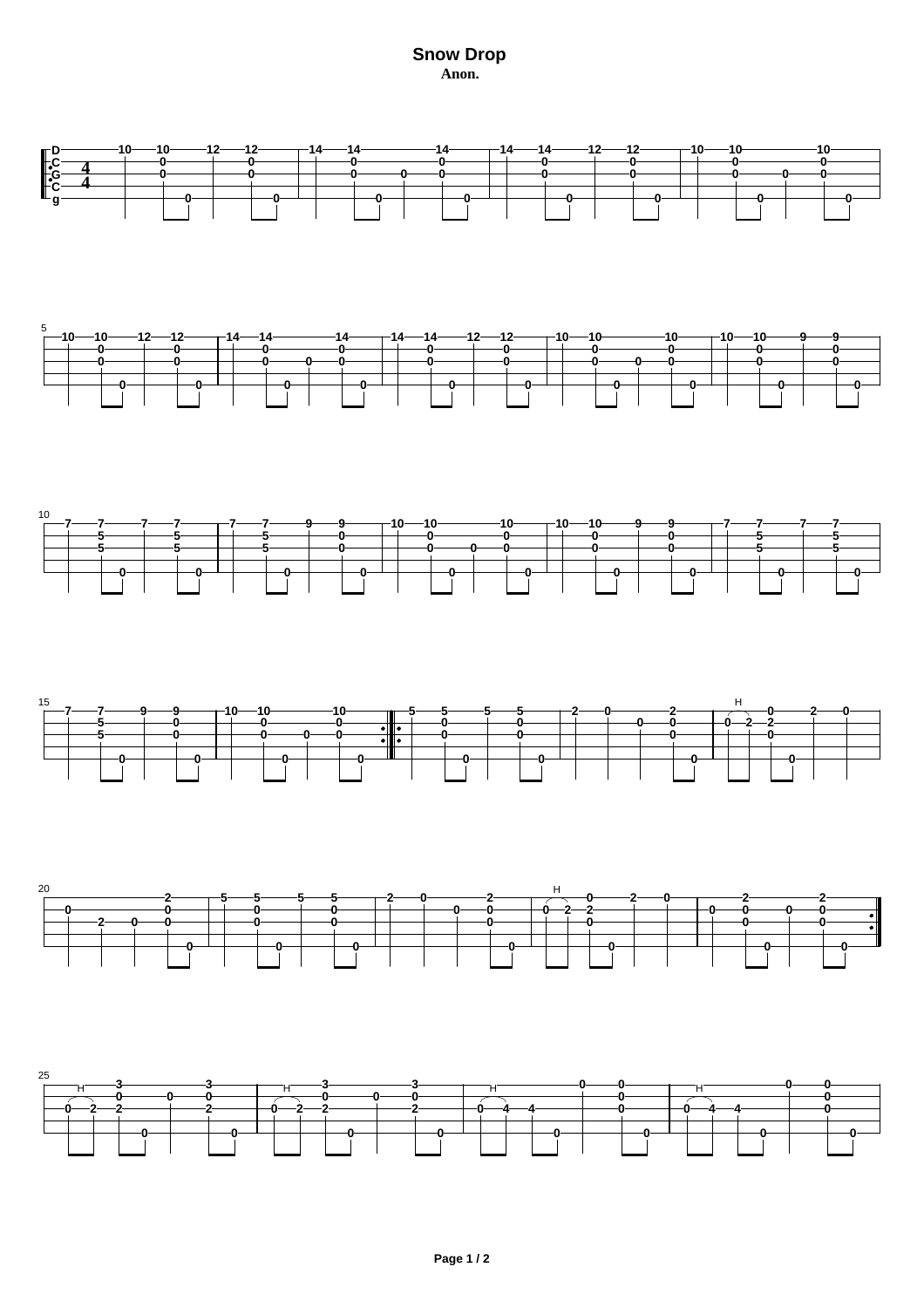**Snow Drop Anon.**